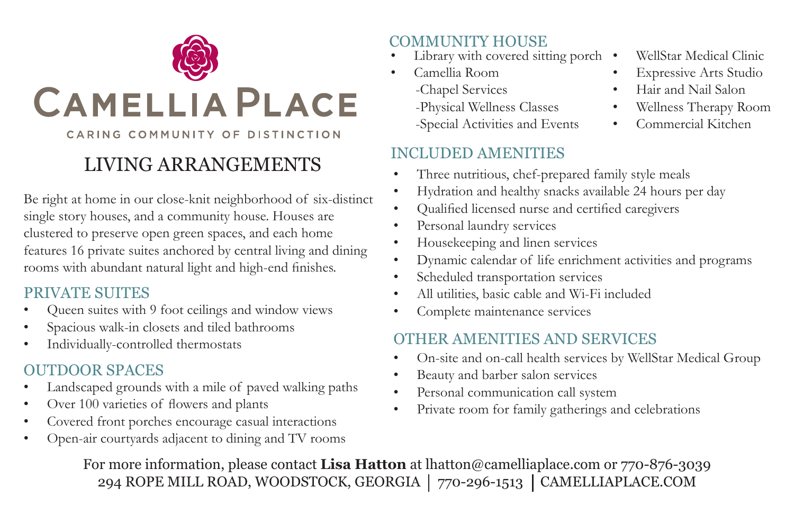

## LIVING ARRANGEMENTS

Be right at home in our close-knit neighborhood of six-distinct single story houses, and a community house. Houses are clustered to preserve open green spaces, and each home features 16 private suites anchored by central living and dining rooms with abundant natural light and high-end finishes.

### PRIVATE SUITES

- Queen suites with 9 foot ceilings and window views
- Spacious walk-in closets and tiled bathrooms
- Individually-controlled thermostats

### OUTDOOR SPACES

- Landscaped grounds with a mile of paved walking paths
- Over 100 varieties of flowers and plants
- Covered front porches encourage casual interactions
- Open-air courtyards adjacent to dining and TV rooms

- Library with covered sitting porch COMMUNITY HOUSE WellStar Medical Clinic
- Camellia Room
	- -Chapel Services
	- -Physical Wellness Classes
	- -Special Activities and Events

### INCLUDED AMENITIES

- 
- **Expressive Arts Studio**
- Hair and Nail Salon
- Wellness Therapy Room
- Commercial Kitchen
- Three nutritious, chef-prepared family style meals
- Hydration and healthy snacks available 24 hours per day
- Qualified licensed nurse and certified caregivers
- Personal laundry services
- Housekeeping and linen services
- Dynamic calendar of life enrichment activities and programs
- Scheduled transportation services
- All utilities, basic cable and Wi-Fi included
- Complete maintenance services

### OTHER AMENITIES AND SERVICES

- On-site and on-call health services by WellStar Medical Group
- Beauty and barber salon services
- Personal communication call system
- Private room for family gatherings and celebrations

For more information, please contact **Lisa Hatton** at lhatton@camelliaplace.com or 770-876-3039 294 ROPE MILL ROAD, WOODSTOCK, GEORGIA | 770-296-1513 | CAMELLIAPLACE.COM